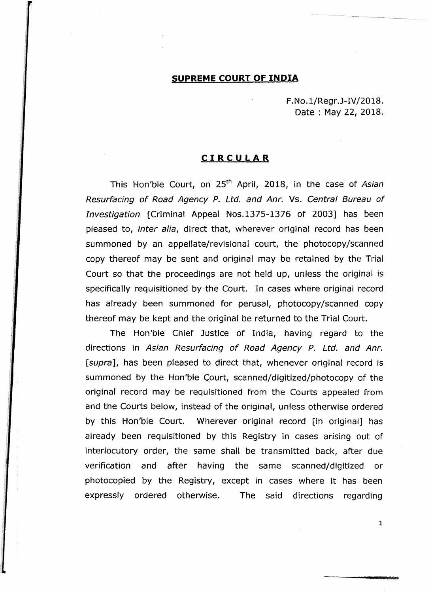## **SUPREME COURT OF INDIA**

F.No.1/Regr.J-IV/2018. Date : May 22, 2018.

## **CIRCULAR**

This Hon'ble Court, on 25<sup>th</sup> April, 2018, in the case of Asian Resurfacing of Road Agency P. Ltd. and Anr. Vs. Central Bureau of Investigation [Criminal Appeal Nos.1375-1376 of 2003] has been pleased to, inter alia, direct that, wherever original record has been summoned by an appellate/revisional court, the photocopy/scanned copy thereof may be sent and original may be retained by the Trial Court so that the proceedings are not held up, unless the original is specifically requisitioned by the Court. In cases where original record has already been summoned for perusal, photocopy/scanned copy thereof may be kept and the original be returned to the Trial Court.

The Hon'ble Chief Justice of India, having regard to the directions in Asian Resurfacing of Road Agency P. Ltd. and Anr. [supra], has been pleased to direct that, whenever original record is summoned by the Hon'ble Court, scanned/digitized/photocopy of the original record may be requisitioned from the Courts appealed from and the Courts below, instead of the original, unless otherwise ordered by this Hon'ble Court. Wherever original record [in original] has already been requisitioned by this Registry in cases arising out of interlocutory order, the same shall be transmitted back, after due verification and after having the same scanned/digitized or photocopied by the Registry, except in cases where it has been expressly ordered otherwise. The said directions regarding

1